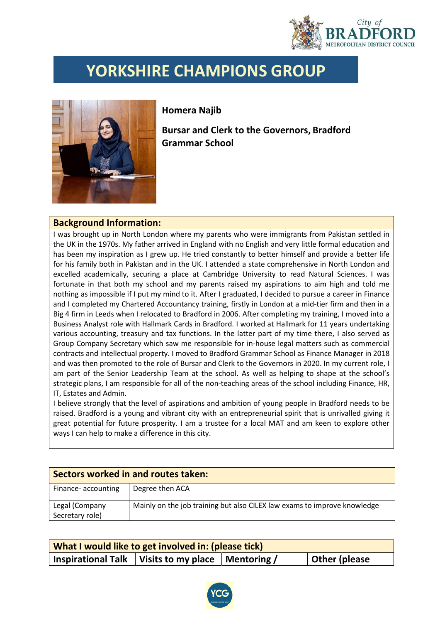

## **YORKSHIRE CHAMPIONS GROUP**



**Homera Najib**

**Bursar and Clerk to the Governors, Bradford Grammar School**

## **Background Information:**

I was brought up in North London where my parents who were immigrants from Pakistan settled in the UK in the 1970s. My father arrived in England with no English and very little formal education and has been my inspiration as I grew up. He tried constantly to better himself and provide a better life for his family both in Pakistan and in the UK. I attended a state comprehensive in North London and excelled academically, securing a place at Cambridge University to read Natural Sciences. I was fortunate in that both my school and my parents raised my aspirations to aim high and told me nothing as impossible if I put my mind to it. After I graduated, I decided to pursue a career in Finance and I completed my Chartered Accountancy training, firstly in London at a mid-tier firm and then in a Big 4 firm in Leeds when I relocated to Bradford in 2006. After completing my training, I moved into a Business Analyst role with Hallmark Cards in Bradford. I worked at Hallmark for 11 years undertaking various accounting, treasury and tax functions. In the latter part of my time there, I also served as Group Company Secretary which saw me responsible for in-house legal matters such as commercial contracts and intellectual property. I moved to Bradford Grammar School as Finance Manager in 2018 and was then promoted to the role of Bursar and Clerk to the Governors in 2020. In my current role, I am part of the Senior Leadership Team at the school. As well as helping to shape at the school's strategic plans, I am responsible for all of the non-teaching areas of the school including Finance, HR, IT, Estates and Admin.

I believe strongly that the level of aspirations and ambition of young people in Bradford needs to be raised. Bradford is a young and vibrant city with an entrepreneurial spirit that is unrivalled giving it great potential for future prosperity. I am a trustee for a local MAT and am keen to explore other ways I can help to make a difference in this city.

| Sectors worked in and routes taken: |                                                                          |  |  |
|-------------------------------------|--------------------------------------------------------------------------|--|--|
| Finance- accounting                 | Degree then ACA                                                          |  |  |
| Legal (Company<br>Secretary role)   | Mainly on the job training but also CILEX law exams to improve knowledge |  |  |

| What I would like to get involved in: (please tick) |                                  |  |               |  |  |  |
|-----------------------------------------------------|----------------------------------|--|---------------|--|--|--|
| <b>Inspirational Talk</b>                           | Visits to my place   Mentoring / |  | Other (please |  |  |  |